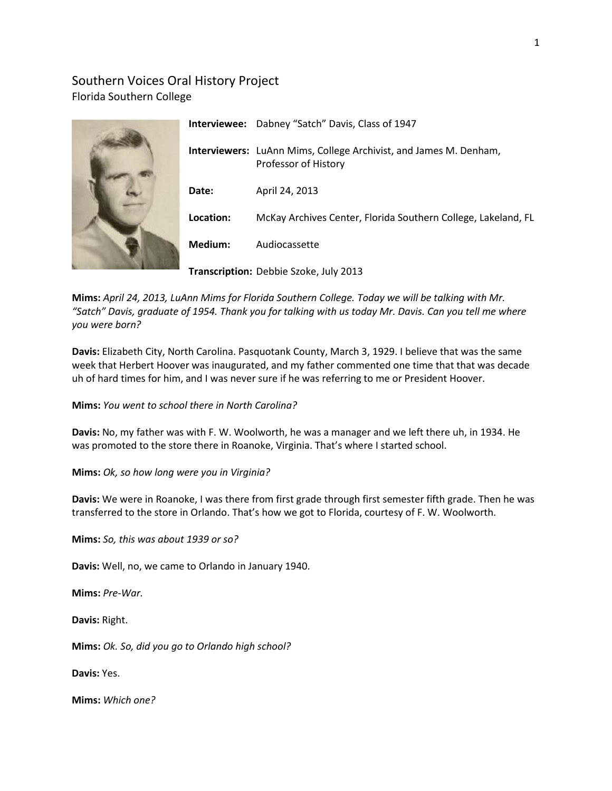# Southern Voices Oral History Project Florida Southern College



|           | <b>Interviewee:</b> Dabney "Satch" Davis, Class of 1947                                          |
|-----------|--------------------------------------------------------------------------------------------------|
|           | <b>Interviewers:</b> LuAnn Mims, College Archivist, and James M. Denham,<br>Professor of History |
| Date:     | April 24, 2013                                                                                   |
| Location: | McKay Archives Center, Florida Southern College, Lakeland, FL                                    |
| Medium:   | Audiocassette                                                                                    |
|           | Transcription: Debbie Szoke, July 2013                                                           |

**Mims:** *April 24, 2013, LuAnn Mims for Florida Southern College. Today we will be talking with Mr. "Satch" Davis, graduate of 1954. Thank you for talking with us today Mr. Davis. Can you tell me where you were born?*

**Davis:** Elizabeth City, North Carolina. Pasquotank County, March 3, 1929. I believe that was the same week that Herbert Hoover was inaugurated, and my father commented one time that that was decade uh of hard times for him, and I was never sure if he was referring to me or President Hoover.

**Mims:** *You went to school there in North Carolina?*

**Davis:** No, my father was with F. W. Woolworth, he was a manager and we left there uh, in 1934. He was promoted to the store there in Roanoke, Virginia. That's where I started school.

**Mims:** *Ok, so how long were you in Virginia?*

**Davis:** We were in Roanoke, I was there from first grade through first semester fifth grade. Then he was transferred to the store in Orlando. That's how we got to Florida, courtesy of F. W. Woolworth.

**Mims:** *So, this was about 1939 or so?*

**Davis:** Well, no, we came to Orlando in January 1940.

**Mims:** *Pre-War.*

**Davis:** Right.

**Mims:** *Ok. So, did you go to Orlando high school?*

**Davis:** Yes.

**Mims:** *Which one?*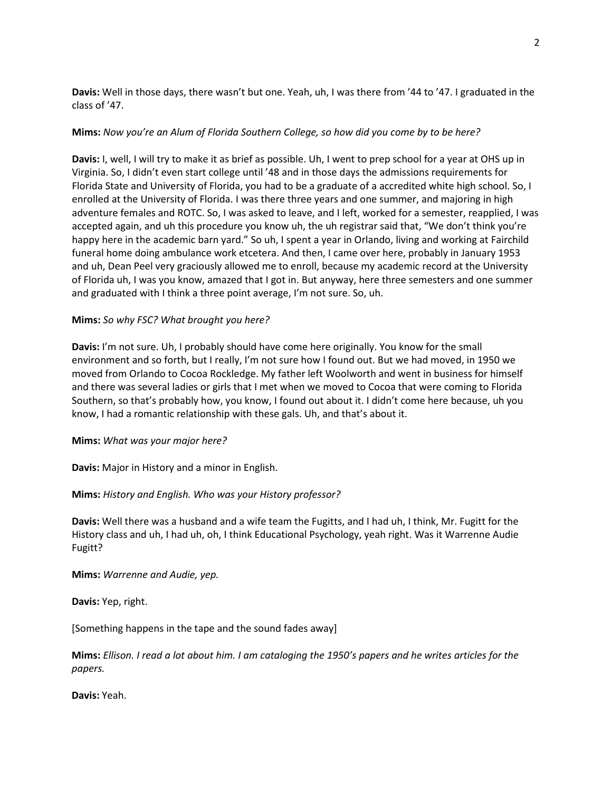**Davis:** Well in those days, there wasn't but one. Yeah, uh, I was there from '44 to '47. I graduated in the class of '47.

### **Mims:** *Now you're an Alum of Florida Southern College, so how did you come by to be here?*

**Davis:** I, well, I will try to make it as brief as possible. Uh, I went to prep school for a year at OHS up in Virginia. So, I didn't even start college until '48 and in those days the admissions requirements for Florida State and University of Florida, you had to be a graduate of a accredited white high school. So, I enrolled at the University of Florida. I was there three years and one summer, and majoring in high adventure females and ROTC. So, I was asked to leave, and I left, worked for a semester, reapplied, I was accepted again, and uh this procedure you know uh, the uh registrar said that, "We don't think you're happy here in the academic barn yard." So uh, I spent a year in Orlando, living and working at Fairchild funeral home doing ambulance work etcetera. And then, I came over here, probably in January 1953 and uh, Dean Peel very graciously allowed me to enroll, because my academic record at the University of Florida uh, I was you know, amazed that I got in. But anyway, here three semesters and one summer and graduated with I think a three point average, I'm not sure. So, uh.

### **Mims:** *So why FSC? What brought you here?*

**Davis:** I'm not sure. Uh, I probably should have come here originally. You know for the small environment and so forth, but I really, I'm not sure how I found out. But we had moved, in 1950 we moved from Orlando to Cocoa Rockledge. My father left Woolworth and went in business for himself and there was several ladies or girls that I met when we moved to Cocoa that were coming to Florida Southern, so that's probably how, you know, I found out about it. I didn't come here because, uh you know, I had a romantic relationship with these gals. Uh, and that's about it.

### **Mims:** *What was your major here?*

**Davis:** Major in History and a minor in English.

## **Mims:** *History and English. Who was your History professor?*

**Davis:** Well there was a husband and a wife team the Fugitts, and I had uh, I think, Mr. Fugitt for the History class and uh, I had uh, oh, I think Educational Psychology, yeah right. Was it Warrenne Audie Fugitt?

**Mims:** *Warrenne and Audie, yep.*

**Davis:** Yep, right.

[Something happens in the tape and the sound fades away]

**Mims:** *Ellison. I read a lot about him. I am cataloging the 1950's papers and he writes articles for the papers.*

**Davis:** Yeah.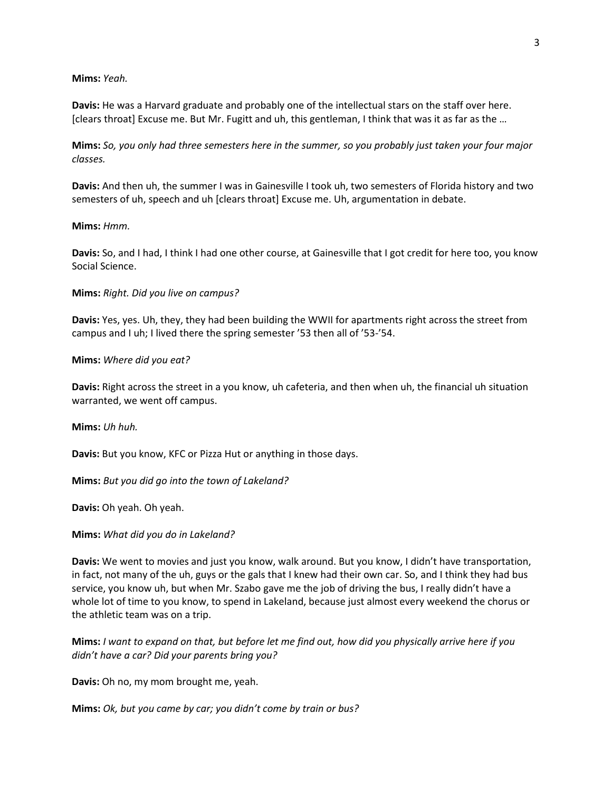#### **Mims:** *Yeah.*

**Davis:** He was a Harvard graduate and probably one of the intellectual stars on the staff over here. [clears throat] Excuse me. But Mr. Fugitt and uh, this gentleman, I think that was it as far as the …

**Mims:** *So, you only had three semesters here in the summer, so you probably just taken your four major classes.*

**Davis:** And then uh, the summer I was in Gainesville I took uh, two semesters of Florida history and two semesters of uh, speech and uh [clears throat] Excuse me. Uh, argumentation in debate.

#### **Mims:** *Hmm.*

**Davis:** So, and I had, I think I had one other course, at Gainesville that I got credit for here too, you know Social Science.

**Mims:** *Right. Did you live on campus?*

**Davis:** Yes, yes. Uh, they, they had been building the WWII for apartments right across the street from campus and I uh; I lived there the spring semester '53 then all of '53-'54.

#### **Mims:** *Where did you eat?*

**Davis:** Right across the street in a you know, uh cafeteria, and then when uh, the financial uh situation warranted, we went off campus.

**Mims:** *Uh huh.*

**Davis:** But you know, KFC or Pizza Hut or anything in those days.

**Mims:** *But you did go into the town of Lakeland?*

**Davis:** Oh yeah. Oh yeah.

#### **Mims:** *What did you do in Lakeland?*

**Davis:** We went to movies and just you know, walk around. But you know, I didn't have transportation, in fact, not many of the uh, guys or the gals that I knew had their own car. So, and I think they had bus service, you know uh, but when Mr. Szabo gave me the job of driving the bus, I really didn't have a whole lot of time to you know, to spend in Lakeland, because just almost every weekend the chorus or the athletic team was on a trip.

**Mims:** *I want to expand on that, but before let me find out, how did you physically arrive here if you didn't have a car? Did your parents bring you?*

**Davis:** Oh no, my mom brought me, yeah.

**Mims:** *Ok, but you came by car; you didn't come by train or bus?*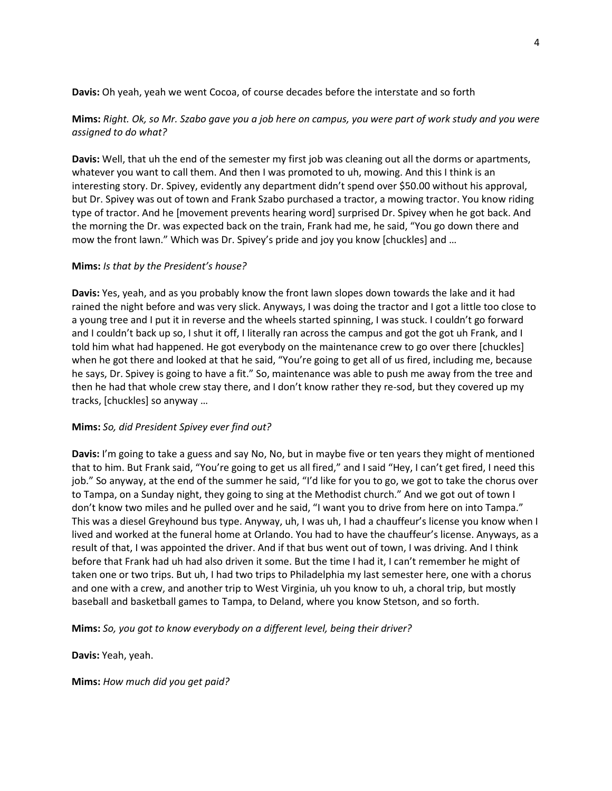**Davis:** Oh yeah, yeah we went Cocoa, of course decades before the interstate and so forth

## **Mims:** *Right. Ok, so Mr. Szabo gave you a job here on campus, you were part of work study and you were assigned to do what?*

**Davis:** Well, that uh the end of the semester my first job was cleaning out all the dorms or apartments, whatever you want to call them. And then I was promoted to uh, mowing. And this I think is an interesting story. Dr. Spivey, evidently any department didn't spend over \$50.00 without his approval, but Dr. Spivey was out of town and Frank Szabo purchased a tractor, a mowing tractor. You know riding type of tractor. And he [movement prevents hearing word] surprised Dr. Spivey when he got back. And the morning the Dr. was expected back on the train, Frank had me, he said, "You go down there and mow the front lawn." Which was Dr. Spivey's pride and joy you know [chuckles] and …

## **Mims:** *Is that by the President's house?*

**Davis:** Yes, yeah, and as you probably know the front lawn slopes down towards the lake and it had rained the night before and was very slick. Anyways, I was doing the tractor and I got a little too close to a young tree and I put it in reverse and the wheels started spinning, I was stuck. I couldn't go forward and I couldn't back up so, I shut it off, I literally ran across the campus and got the got uh Frank, and I told him what had happened. He got everybody on the maintenance crew to go over there [chuckles] when he got there and looked at that he said, "You're going to get all of us fired, including me, because he says, Dr. Spivey is going to have a fit." So, maintenance was able to push me away from the tree and then he had that whole crew stay there, and I don't know rather they re-sod, but they covered up my tracks, [chuckles] so anyway …

### **Mims:** *So, did President Spivey ever find out?*

**Davis:** I'm going to take a guess and say No, No, but in maybe five or ten years they might of mentioned that to him. But Frank said, "You're going to get us all fired," and I said "Hey, I can't get fired, I need this job." So anyway, at the end of the summer he said, "I'd like for you to go, we got to take the chorus over to Tampa, on a Sunday night, they going to sing at the Methodist church." And we got out of town I don't know two miles and he pulled over and he said, "I want you to drive from here on into Tampa." This was a diesel Greyhound bus type. Anyway, uh, I was uh, I had a chauffeur's license you know when I lived and worked at the funeral home at Orlando. You had to have the chauffeur's license. Anyways, as a result of that, I was appointed the driver. And if that bus went out of town, I was driving. And I think before that Frank had uh had also driven it some. But the time I had it, I can't remember he might of taken one or two trips. But uh, I had two trips to Philadelphia my last semester here, one with a chorus and one with a crew, and another trip to West Virginia, uh you know to uh, a choral trip, but mostly baseball and basketball games to Tampa, to Deland, where you know Stetson, and so forth.

**Mims:** *So, you got to know everybody on a different level, being their driver?*

**Davis:** Yeah, yeah.

**Mims:** *How much did you get paid?*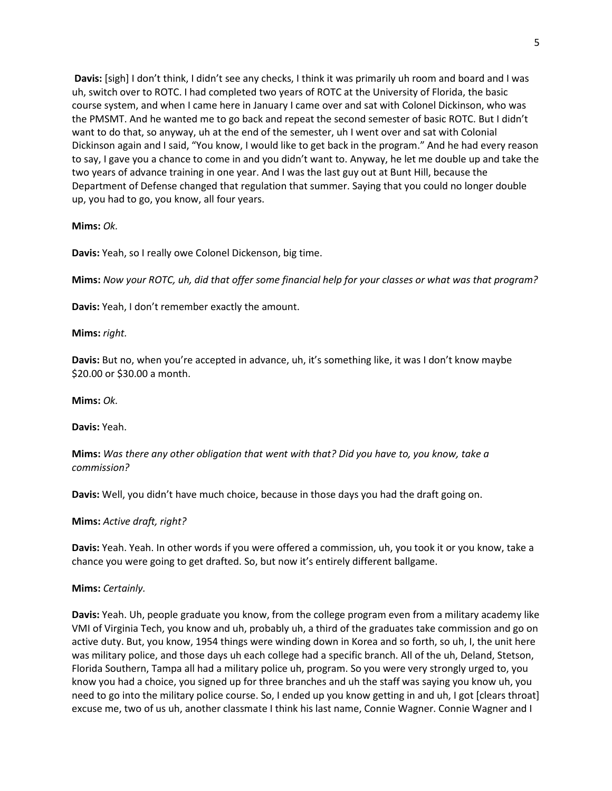**Davis:** [sigh] I don't think, I didn't see any checks, I think it was primarily uh room and board and I was uh, switch over to ROTC. I had completed two years of ROTC at the University of Florida, the basic course system, and when I came here in January I came over and sat with Colonel Dickinson, who was the PMSMT. And he wanted me to go back and repeat the second semester of basic ROTC. But I didn't want to do that, so anyway, uh at the end of the semester, uh I went over and sat with Colonial Dickinson again and I said, "You know, I would like to get back in the program." And he had every reason to say, I gave you a chance to come in and you didn't want to. Anyway, he let me double up and take the two years of advance training in one year. And I was the last guy out at Bunt Hill, because the Department of Defense changed that regulation that summer. Saying that you could no longer double up, you had to go, you know, all four years.

### **Mims:** *Ok.*

**Davis:** Yeah, so I really owe Colonel Dickenson, big time.

**Mims:** *Now your ROTC, uh, did that offer some financial help for your classes or what was that program?*

**Davis:** Yeah, I don't remember exactly the amount.

**Mims:** *right.*

**Davis:** But no, when you're accepted in advance, uh, it's something like, it was I don't know maybe \$20.00 or \$30.00 a month.

**Mims:** *Ok.*

**Davis:** Yeah.

**Mims:** *Was there any other obligation that went with that? Did you have to, you know, take a commission?*

**Davis:** Well, you didn't have much choice, because in those days you had the draft going on.

**Mims:** *Active draft, right?*

**Davis:** Yeah. Yeah. In other words if you were offered a commission, uh, you took it or you know, take a chance you were going to get drafted. So, but now it's entirely different ballgame.

**Mims:** *Certainly.*

**Davis:** Yeah. Uh, people graduate you know, from the college program even from a military academy like VMI of Virginia Tech, you know and uh, probably uh, a third of the graduates take commission and go on active duty. But, you know, 1954 things were winding down in Korea and so forth, so uh, I, the unit here was military police, and those days uh each college had a specific branch. All of the uh, Deland, Stetson, Florida Southern, Tampa all had a military police uh, program. So you were very strongly urged to, you know you had a choice, you signed up for three branches and uh the staff was saying you know uh, you need to go into the military police course. So, I ended up you know getting in and uh, I got [clears throat] excuse me, two of us uh, another classmate I think his last name, Connie Wagner. Connie Wagner and I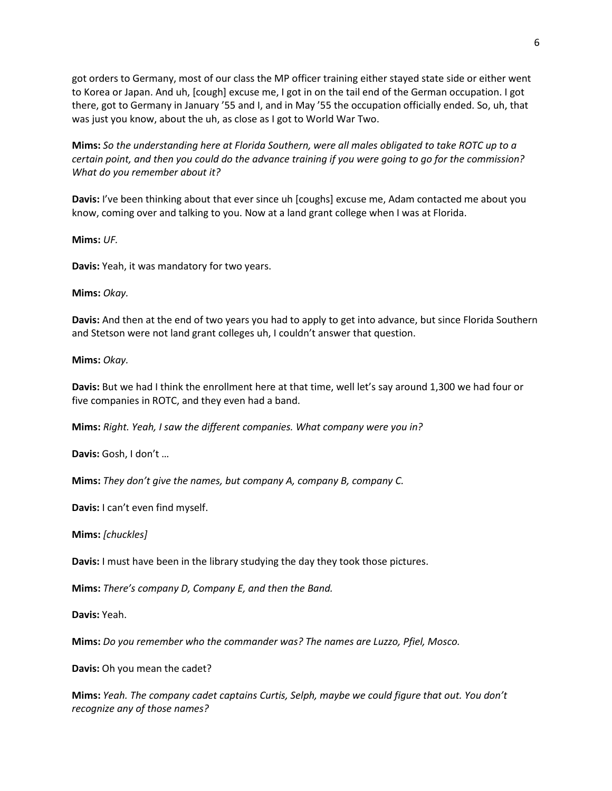got orders to Germany, most of our class the MP officer training either stayed state side or either went to Korea or Japan. And uh, [cough] excuse me, I got in on the tail end of the German occupation. I got there, got to Germany in January '55 and I, and in May '55 the occupation officially ended. So, uh, that was just you know, about the uh, as close as I got to World War Two.

**Mims:** *So the understanding here at Florida Southern, were all males obligated to take ROTC up to a certain point, and then you could do the advance training if you were going to go for the commission? What do you remember about it?*

**Davis:** I've been thinking about that ever since uh [coughs] excuse me, Adam contacted me about you know, coming over and talking to you. Now at a land grant college when I was at Florida.

**Mims:** *UF.*

**Davis:** Yeah, it was mandatory for two years.

### **Mims:** *Okay.*

**Davis:** And then at the end of two years you had to apply to get into advance, but since Florida Southern and Stetson were not land grant colleges uh, I couldn't answer that question.

### **Mims:** *Okay.*

**Davis:** But we had I think the enrollment here at that time, well let's say around 1,300 we had four or five companies in ROTC, and they even had a band.

**Mims:** *Right. Yeah, I saw the different companies. What company were you in?*

**Davis:** Gosh, I don't …

**Mims:** *They don't give the names, but company A, company B, company C.*

**Davis:** I can't even find myself.

**Mims:** *[chuckles]*

**Davis:** I must have been in the library studying the day they took those pictures.

**Mims:** *There's company D, Company E, and then the Band.*

**Davis:** Yeah.

**Mims:** *Do you remember who the commander was? The names are Luzzo, Pfiel, Mosco.*

**Davis:** Oh you mean the cadet?

**Mims:** *Yeah. The company cadet captains Curtis, Selph, maybe we could figure that out. You don't recognize any of those names?*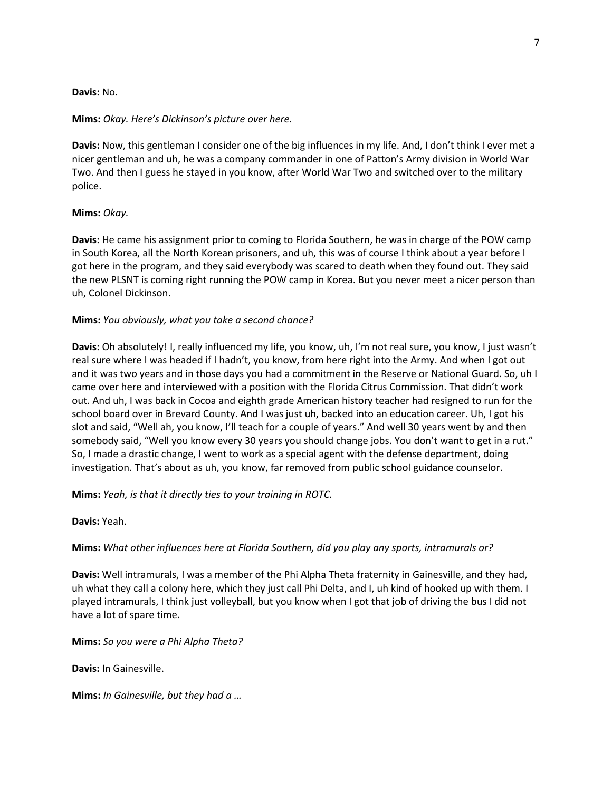### **Davis:** No.

### **Mims:** *Okay. Here's Dickinson's picture over here.*

**Davis:** Now, this gentleman I consider one of the big influences in my life. And, I don't think I ever met a nicer gentleman and uh, he was a company commander in one of Patton's Army division in World War Two. And then I guess he stayed in you know, after World War Two and switched over to the military police.

### **Mims:** *Okay.*

**Davis:** He came his assignment prior to coming to Florida Southern, he was in charge of the POW camp in South Korea, all the North Korean prisoners, and uh, this was of course I think about a year before I got here in the program, and they said everybody was scared to death when they found out. They said the new PLSNT is coming right running the POW camp in Korea. But you never meet a nicer person than uh, Colonel Dickinson.

### **Mims:** *You obviously, what you take a second chance?*

**Davis:** Oh absolutely! I, really influenced my life, you know, uh, I'm not real sure, you know, I just wasn't real sure where I was headed if I hadn't, you know, from here right into the Army. And when I got out and it was two years and in those days you had a commitment in the Reserve or National Guard. So, uh I came over here and interviewed with a position with the Florida Citrus Commission. That didn't work out. And uh, I was back in Cocoa and eighth grade American history teacher had resigned to run for the school board over in Brevard County. And I was just uh, backed into an education career. Uh, I got his slot and said, "Well ah, you know, I'll teach for a couple of years." And well 30 years went by and then somebody said, "Well you know every 30 years you should change jobs. You don't want to get in a rut." So, I made a drastic change, I went to work as a special agent with the defense department, doing investigation. That's about as uh, you know, far removed from public school guidance counselor.

**Mims:** *Yeah, is that it directly ties to your training in ROTC.*

**Davis:** Yeah.

## **Mims:** *What other influences here at Florida Southern, did you play any sports, intramurals or?*

**Davis:** Well intramurals, I was a member of the Phi Alpha Theta fraternity in Gainesville, and they had, uh what they call a colony here, which they just call Phi Delta, and I, uh kind of hooked up with them. I played intramurals, I think just volleyball, but you know when I got that job of driving the bus I did not have a lot of spare time.

**Mims:** *So you were a Phi Alpha Theta?*

**Davis:** In Gainesville.

**Mims:** *In Gainesville, but they had a …*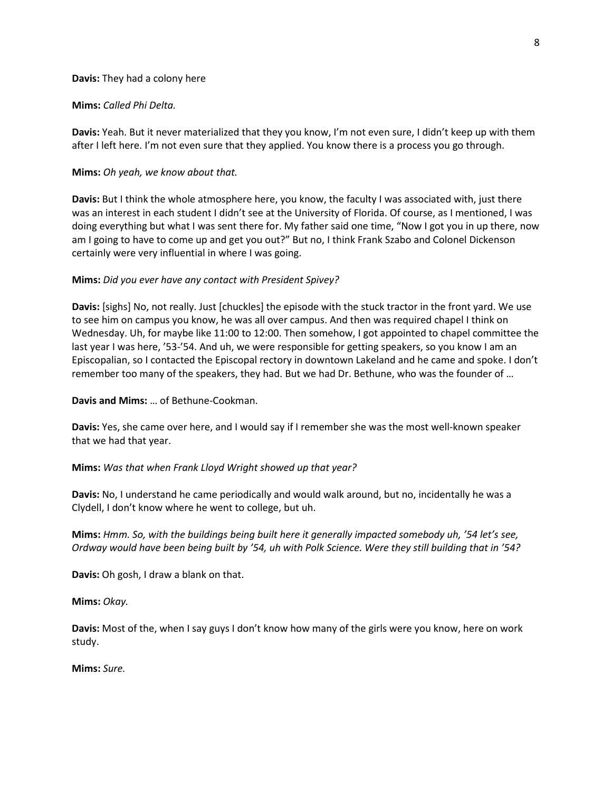#### **Davis:** They had a colony here

#### **Mims:** *Called Phi Delta.*

**Davis:** Yeah. But it never materialized that they you know, I'm not even sure, I didn't keep up with them after I left here. I'm not even sure that they applied. You know there is a process you go through.

### **Mims:** *Oh yeah, we know about that.*

**Davis:** But I think the whole atmosphere here, you know, the faculty I was associated with, just there was an interest in each student I didn't see at the University of Florida. Of course, as I mentioned, I was doing everything but what I was sent there for. My father said one time, "Now I got you in up there, now am I going to have to come up and get you out?" But no, I think Frank Szabo and Colonel Dickenson certainly were very influential in where I was going.

#### **Mims:** *Did you ever have any contact with President Spivey?*

**Davis:** [sighs] No, not really. Just [chuckles] the episode with the stuck tractor in the front yard. We use to see him on campus you know, he was all over campus. And then was required chapel I think on Wednesday. Uh, for maybe like 11:00 to 12:00. Then somehow, I got appointed to chapel committee the last year I was here, '53-'54. And uh, we were responsible for getting speakers, so you know I am an Episcopalian, so I contacted the Episcopal rectory in downtown Lakeland and he came and spoke. I don't remember too many of the speakers, they had. But we had Dr. Bethune, who was the founder of …

#### **Davis and Mims:** … of Bethune-Cookman.

**Davis:** Yes, she came over here, and I would say if I remember she was the most well-known speaker that we had that year.

### **Mims:** *Was that when Frank Lloyd Wright showed up that year?*

**Davis:** No, I understand he came periodically and would walk around, but no, incidentally he was a Clydell, I don't know where he went to college, but uh.

**Mims:** *Hmm. So, with the buildings being built here it generally impacted somebody uh, '54 let's see, Ordway would have been being built by '54, uh with Polk Science. Were they still building that in '54?*

**Davis:** Oh gosh, I draw a blank on that.

#### **Mims:** *Okay.*

**Davis:** Most of the, when I say guys I don't know how many of the girls were you know, here on work study.

#### **Mims:** *Sure.*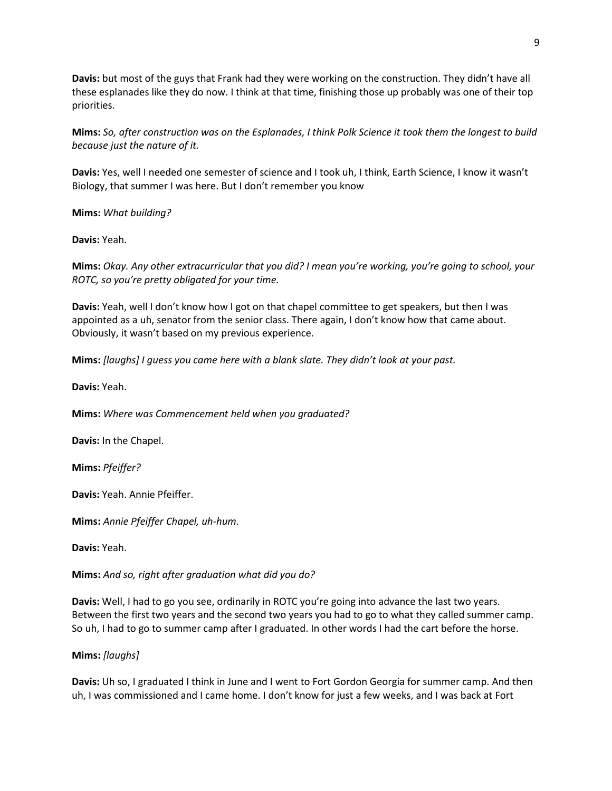**Davis:** but most of the guys that Frank had they were working on the construction. They didn't have all these esplanades like they do now. I think at that time, finishing those up probably was one of their top priorities.

**Mims:** *So, after construction was on the Esplanades, I think Polk Science it took them the longest to build because just the nature of it.*

**Davis:** Yes, well I needed one semester of science and I took uh, I think, Earth Science, I know it wasn't Biology, that summer I was here. But I don't remember you know

**Mims:** *What building?*

**Davis:** Yeah.

**Mims:** *Okay. Any other extracurricular that you did? I mean you're working, you're going to school, your ROTC, so you're pretty obligated for your time.*

**Davis:** Yeah, well I don't know how I got on that chapel committee to get speakers, but then I was appointed as a uh, senator from the senior class. There again, I don't know how that came about. Obviously, it wasn't based on my previous experience.

**Mims:** *[laughs] I guess you came here with a blank slate. They didn't look at your past.*

**Davis:** Yeah.

**Mims:** *Where was Commencement held when you graduated?*

**Davis:** In the Chapel.

**Mims:** *Pfeiffer?*

**Davis:** Yeah. Annie Pfeiffer.

**Mims:** *Annie Pfeiffer Chapel, uh-hum.*

**Davis:** Yeah.

**Mims:** *And so, right after graduation what did you do?*

**Davis:** Well, I had to go you see, ordinarily in ROTC you're going into advance the last two years. Between the first two years and the second two years you had to go to what they called summer camp. So uh, I had to go to summer camp after I graduated. In other words I had the cart before the horse.

**Mims:** *[laughs]*

**Davis:** Uh so, I graduated I think in June and I went to Fort Gordon Georgia for summer camp. And then uh, I was commissioned and I came home. I don't know for just a few weeks, and I was back at Fort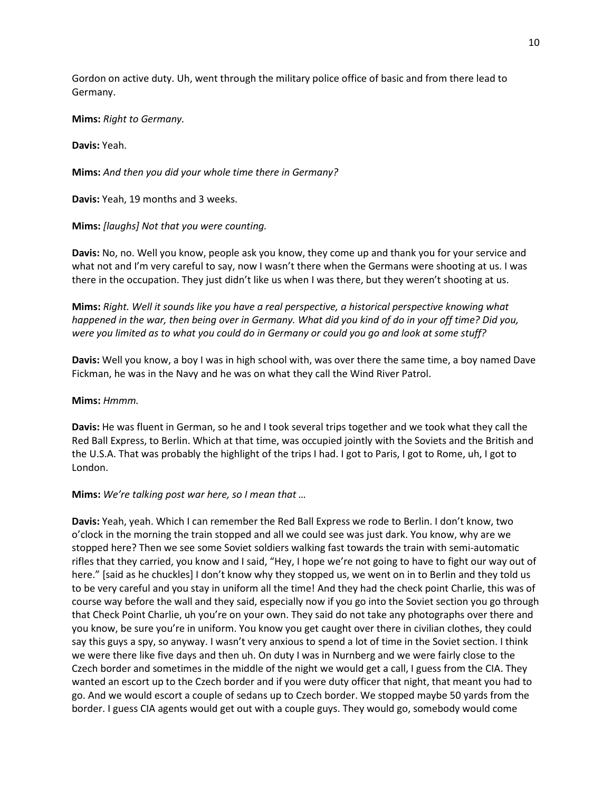Gordon on active duty. Uh, went through the military police office of basic and from there lead to Germany.

**Mims:** *Right to Germany.*

**Davis:** Yeah.

**Mims:** *And then you did your whole time there in Germany?*

**Davis:** Yeah, 19 months and 3 weeks.

**Mims:** *[laughs] Not that you were counting.*

**Davis:** No, no. Well you know, people ask you know, they come up and thank you for your service and what not and I'm very careful to say, now I wasn't there when the Germans were shooting at us. I was there in the occupation. They just didn't like us when I was there, but they weren't shooting at us.

**Mims:** *Right. Well it sounds like you have a real perspective, a historical perspective knowing what happened in the war, then being over in Germany. What did you kind of do in your off time? Did you, were you limited as to what you could do in Germany or could you go and look at some stuff?*

**Davis:** Well you know, a boy I was in high school with, was over there the same time, a boy named Dave Fickman, he was in the Navy and he was on what they call the Wind River Patrol.

#### **Mims:** *Hmmm.*

**Davis:** He was fluent in German, so he and I took several trips together and we took what they call the Red Ball Express, to Berlin. Which at that time, was occupied jointly with the Soviets and the British and the U.S.A. That was probably the highlight of the trips I had. I got to Paris, I got to Rome, uh, I got to London.

### **Mims:** *We're talking post war here, so I mean that …*

**Davis:** Yeah, yeah. Which I can remember the Red Ball Express we rode to Berlin. I don't know, two o'clock in the morning the train stopped and all we could see was just dark. You know, why are we stopped here? Then we see some Soviet soldiers walking fast towards the train with semi-automatic rifles that they carried, you know and I said, "Hey, I hope we're not going to have to fight our way out of here." [said as he chuckles] I don't know why they stopped us, we went on in to Berlin and they told us to be very careful and you stay in uniform all the time! And they had the check point Charlie, this was of course way before the wall and they said, especially now if you go into the Soviet section you go through that Check Point Charlie, uh you're on your own. They said do not take any photographs over there and you know, be sure you're in uniform. You know you get caught over there in civilian clothes, they could say this guys a spy, so anyway. I wasn't very anxious to spend a lot of time in the Soviet section. I think we were there like five days and then uh. On duty I was in Nurnberg and we were fairly close to the Czech border and sometimes in the middle of the night we would get a call, I guess from the CIA. They wanted an escort up to the Czech border and if you were duty officer that night, that meant you had to go. And we would escort a couple of sedans up to Czech border. We stopped maybe 50 yards from the border. I guess CIA agents would get out with a couple guys. They would go, somebody would come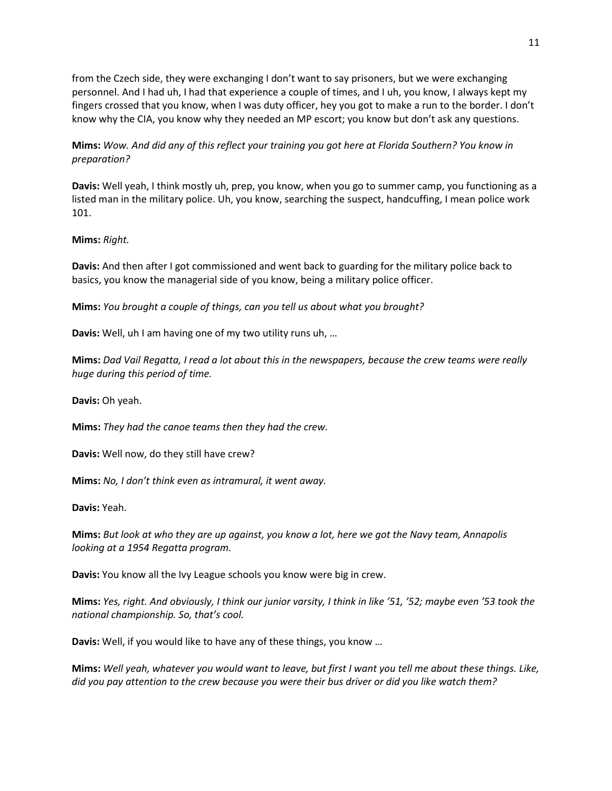from the Czech side, they were exchanging I don't want to say prisoners, but we were exchanging personnel. And I had uh, I had that experience a couple of times, and I uh, you know, I always kept my fingers crossed that you know, when I was duty officer, hey you got to make a run to the border. I don't know why the CIA, you know why they needed an MP escort; you know but don't ask any questions.

## **Mims:** *Wow. And did any of this reflect your training you got here at Florida Southern? You know in preparation?*

**Davis:** Well yeah, I think mostly uh, prep, you know, when you go to summer camp, you functioning as a listed man in the military police. Uh, you know, searching the suspect, handcuffing, I mean police work 101.

**Mims:** *Right.*

**Davis:** And then after I got commissioned and went back to guarding for the military police back to basics, you know the managerial side of you know, being a military police officer.

**Mims:** *You brought a couple of things, can you tell us about what you brought?*

**Davis:** Well, uh I am having one of my two utility runs uh, …

**Mims:** *Dad Vail Regatta, I read a lot about this in the newspapers, because the crew teams were really huge during this period of time.*

**Davis:** Oh yeah.

**Mims:** *They had the canoe teams then they had the crew.*

**Davis:** Well now, do they still have crew?

**Mims:** *No, I don't think even as intramural, it went away.*

**Davis:** Yeah.

**Mims:** *But look at who they are up against, you know a lot, here we got the Navy team, Annapolis looking at a 1954 Regatta program.*

**Davis:** You know all the Ivy League schools you know were big in crew.

**Mims:** *Yes, right. And obviously, I think our junior varsity, I think in like '51, '52; maybe even '53 took the national championship. So, that's cool.*

**Davis:** Well, if you would like to have any of these things, you know …

**Mims:** *Well yeah, whatever you would want to leave, but first I want you tell me about these things. Like, did you pay attention to the crew because you were their bus driver or did you like watch them?*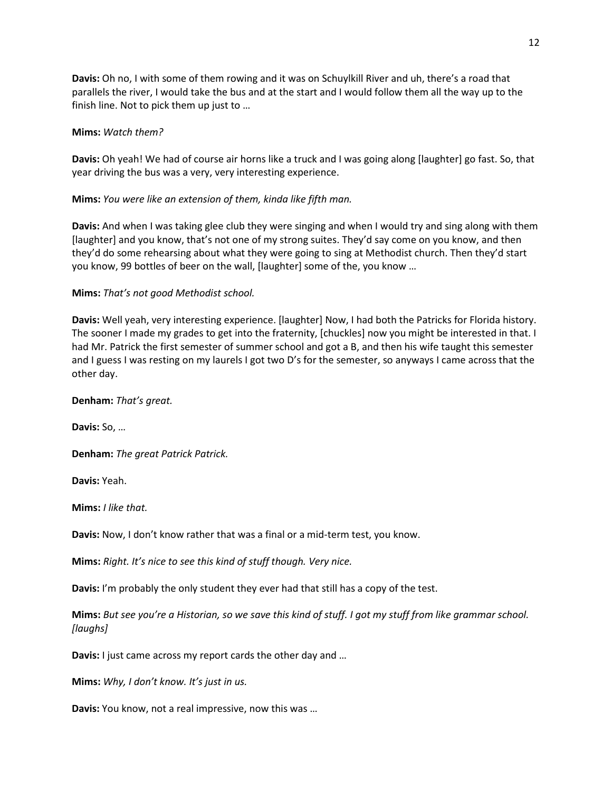**Davis:** Oh no, I with some of them rowing and it was on Schuylkill River and uh, there's a road that parallels the river, I would take the bus and at the start and I would follow them all the way up to the finish line. Not to pick them up just to …

### **Mims:** *Watch them?*

**Davis:** Oh yeah! We had of course air horns like a truck and I was going along [laughter] go fast. So, that year driving the bus was a very, very interesting experience.

**Mims:** *You were like an extension of them, kinda like fifth man.*

**Davis:** And when I was taking glee club they were singing and when I would try and sing along with them [laughter] and you know, that's not one of my strong suites. They'd say come on you know, and then they'd do some rehearsing about what they were going to sing at Methodist church. Then they'd start you know, 99 bottles of beer on the wall, [laughter] some of the, you know …

## **Mims:** *That's not good Methodist school.*

**Davis:** Well yeah, very interesting experience. [laughter] Now, I had both the Patricks for Florida history. The sooner I made my grades to get into the fraternity, [chuckles] now you might be interested in that. I had Mr. Patrick the first semester of summer school and got a B, and then his wife taught this semester and I guess I was resting on my laurels I got two D's for the semester, so anyways I came across that the other day.

**Denham:** *That's great.*

**Davis:** So, …

**Denham:** *The great Patrick Patrick.*

**Davis:** Yeah.

**Mims:** *I like that.* 

**Davis:** Now, I don't know rather that was a final or a mid-term test, you know.

**Mims:** *Right. It's nice to see this kind of stuff though. Very nice.*

**Davis:** I'm probably the only student they ever had that still has a copy of the test.

**Mims:** *But see you're a Historian, so we save this kind of stuff. I got my stuff from like grammar school. [laughs]*

**Davis:** I just came across my report cards the other day and …

**Mims:** *Why, I don't know. It's just in us.*

**Davis:** You know, not a real impressive, now this was …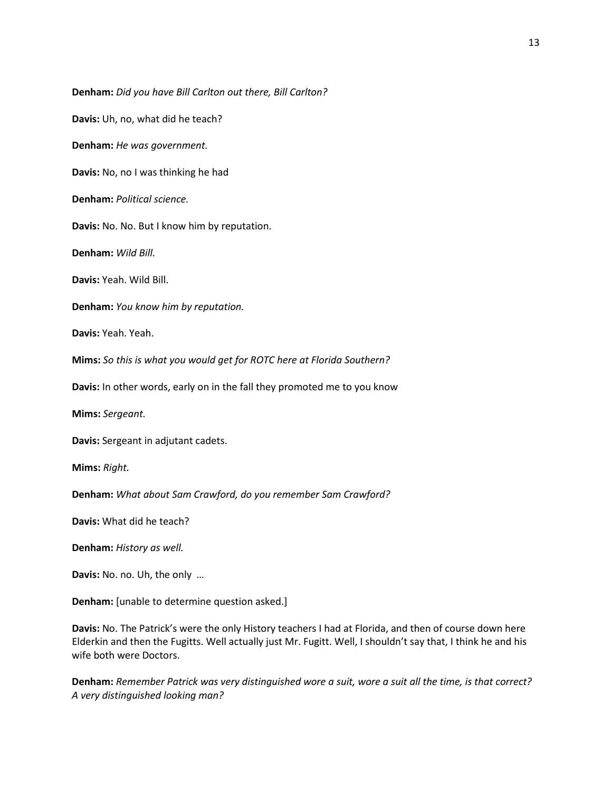**Denham:** *Did you have Bill Carlton out there, Bill Carlton?*

**Davis:** Uh, no, what did he teach?

**Denham:** *He was government.*

**Davis:** No, no I was thinking he had

**Denham:** *Political science.*

**Davis:** No. No. But I know him by reputation.

**Denham:** *Wild Bill.*

**Davis:** Yeah. Wild Bill.

**Denham:** *You know him by reputation.*

**Davis:** Yeah. Yeah.

**Mims:** *So this is what you would get for ROTC here at Florida Southern?*

**Davis:** In other words, early on in the fall they promoted me to you know

**Mims:** *Sergeant.*

**Davis:** Sergeant in adjutant cadets.

**Mims:** *Right.*

**Denham:** *What about Sam Crawford, do you remember Sam Crawford?*

**Davis:** What did he teach?

**Denham:** *History as well.*

**Davis:** No. no. Uh, the only …

**Denham:** [unable to determine question asked.]

**Davis:** No. The Patrick's were the only History teachers I had at Florida, and then of course down here Elderkin and then the Fugitts. Well actually just Mr. Fugitt. Well, I shouldn't say that, I think he and his wife both were Doctors.

**Denham:** *Remember Patrick was very distinguished wore a suit, wore a suit all the time, is that correct? A very distinguished looking man?*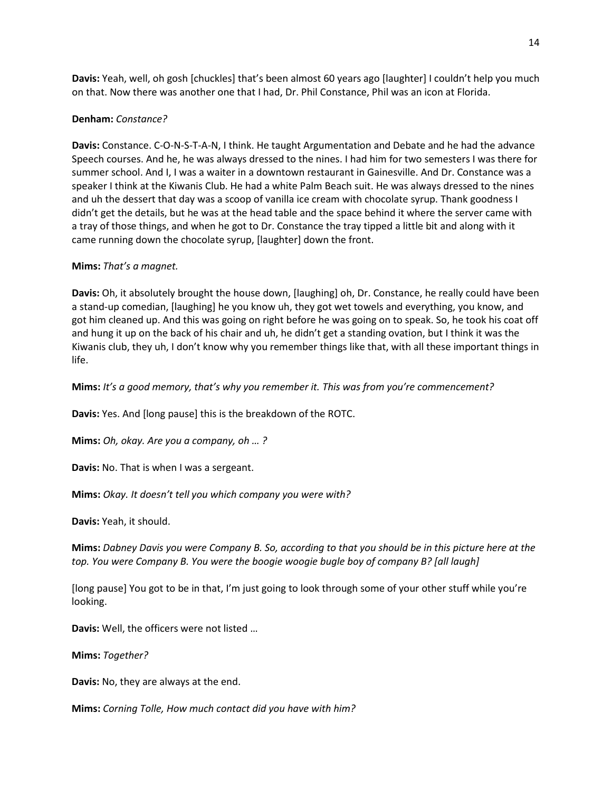**Davis:** Yeah, well, oh gosh [chuckles] that's been almost 60 years ago [laughter] I couldn't help you much on that. Now there was another one that I had, Dr. Phil Constance, Phil was an icon at Florida.

### **Denham:** *Constance?*

**Davis:** Constance. C-O-N-S-T-A-N, I think. He taught Argumentation and Debate and he had the advance Speech courses. And he, he was always dressed to the nines. I had him for two semesters I was there for summer school. And I, I was a waiter in a downtown restaurant in Gainesville. And Dr. Constance was a speaker I think at the Kiwanis Club. He had a white Palm Beach suit. He was always dressed to the nines and uh the dessert that day was a scoop of vanilla ice cream with chocolate syrup. Thank goodness I didn't get the details, but he was at the head table and the space behind it where the server came with a tray of those things, and when he got to Dr. Constance the tray tipped a little bit and along with it came running down the chocolate syrup, [laughter] down the front.

### **Mims:** *That's a magnet.*

**Davis:** Oh, it absolutely brought the house down, [laughing] oh, Dr. Constance, he really could have been a stand-up comedian, [laughing] he you know uh, they got wet towels and everything, you know, and got him cleaned up. And this was going on right before he was going on to speak. So, he took his coat off and hung it up on the back of his chair and uh, he didn't get a standing ovation, but I think it was the Kiwanis club, they uh, I don't know why you remember things like that, with all these important things in life.

**Mims:** *It's a good memory, that's why you remember it. This was from you're commencement?*

**Davis:** Yes. And [long pause] this is the breakdown of the ROTC.

**Mims:** *Oh, okay. Are you a company, oh … ?*

**Davis:** No. That is when I was a sergeant.

**Mims:** *Okay. It doesn't tell you which company you were with?*

**Davis:** Yeah, it should.

**Mims:** *Dabney Davis you were Company B. So, according to that you should be in this picture here at the top. You were Company B. You were the boogie woogie bugle boy of company B? [all laugh]*

[long pause] You got to be in that, I'm just going to look through some of your other stuff while you're looking.

**Davis:** Well, the officers were not listed …

**Mims:** *Together?*

**Davis:** No, they are always at the end.

**Mims:** *Corning Tolle, How much contact did you have with him?*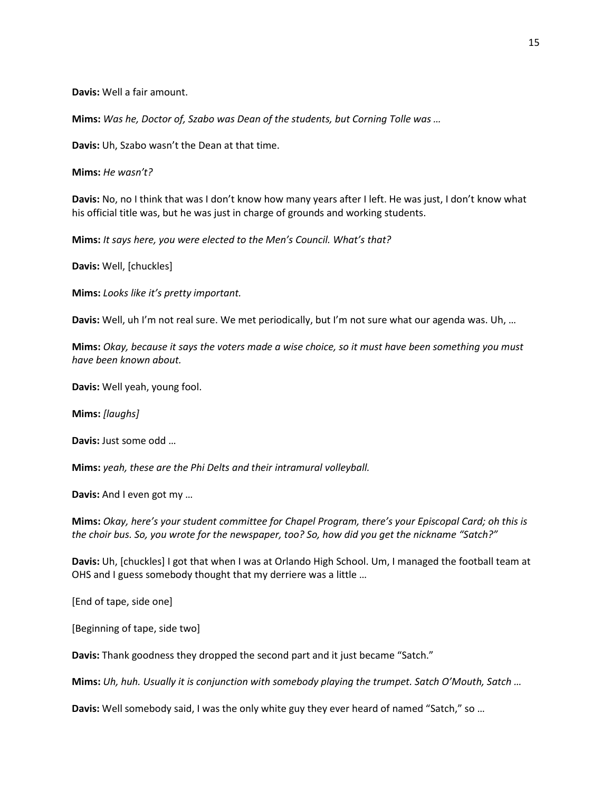**Davis:** Well a fair amount.

**Mims:** *Was he, Doctor of, Szabo was Dean of the students, but Corning Tolle was …*

**Davis:** Uh, Szabo wasn't the Dean at that time.

**Mims:** *He wasn't?*

**Davis:** No, no I think that was I don't know how many years after I left. He was just, I don't know what his official title was, but he was just in charge of grounds and working students.

**Mims:** *It says here, you were elected to the Men's Council. What's that?*

**Davis:** Well, [chuckles]

**Mims:** *Looks like it's pretty important.*

**Davis:** Well, uh I'm not real sure. We met periodically, but I'm not sure what our agenda was. Uh, …

**Mims:** *Okay, because it says the voters made a wise choice, so it must have been something you must have been known about.*

**Davis:** Well yeah, young fool.

**Mims:** *[laughs]*

**Davis:** Just some odd …

**Mims:** *yeah, these are the Phi Delts and their intramural volleyball.*

**Davis:** And I even got my …

**Mims:** *Okay, here's your student committee for Chapel Program, there's your Episcopal Card; oh this is the choir bus. So, you wrote for the newspaper, too? So, how did you get the nickname "Satch?"*

**Davis:** Uh, [chuckles] I got that when I was at Orlando High School. Um, I managed the football team at OHS and I guess somebody thought that my derriere was a little …

[End of tape, side one]

[Beginning of tape, side two]

**Davis:** Thank goodness they dropped the second part and it just became "Satch."

**Mims:** *Uh, huh. Usually it is conjunction with somebody playing the trumpet. Satch O'Mouth, Satch …*

**Davis:** Well somebody said, I was the only white guy they ever heard of named "Satch," so …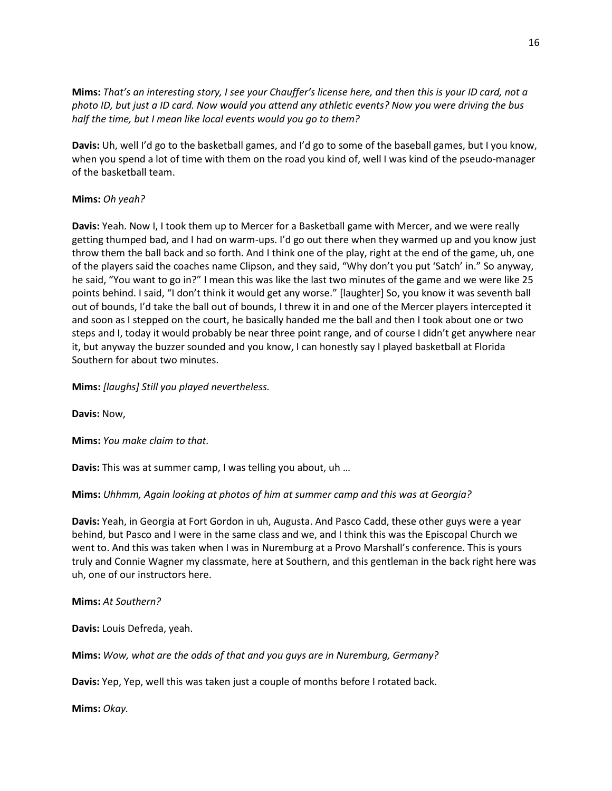**Mims:** *That's an interesting story, I see your Chauffer's license here, and then this is your ID card, not a photo ID, but just a ID card. Now would you attend any athletic events? Now you were driving the bus half the time, but I mean like local events would you go to them?*

**Davis:** Uh, well I'd go to the basketball games, and I'd go to some of the baseball games, but I you know, when you spend a lot of time with them on the road you kind of, well I was kind of the pseudo-manager of the basketball team.

## **Mims:** *Oh yeah?*

**Davis:** Yeah. Now I, I took them up to Mercer for a Basketball game with Mercer, and we were really getting thumped bad, and I had on warm-ups. I'd go out there when they warmed up and you know just throw them the ball back and so forth. And I think one of the play, right at the end of the game, uh, one of the players said the coaches name Clipson, and they said, "Why don't you put 'Satch' in." So anyway, he said, "You want to go in?" I mean this was like the last two minutes of the game and we were like 25 points behind. I said, "I don't think it would get any worse." [laughter] So, you know it was seventh ball out of bounds, I'd take the ball out of bounds, I threw it in and one of the Mercer players intercepted it and soon as I stepped on the court, he basically handed me the ball and then I took about one or two steps and I, today it would probably be near three point range, and of course I didn't get anywhere near it, but anyway the buzzer sounded and you know, I can honestly say I played basketball at Florida Southern for about two minutes.

### **Mims:** *[laughs] Still you played nevertheless.*

**Davis:** Now,

**Mims:** *You make claim to that.*

**Davis:** This was at summer camp, I was telling you about, uh …

## **Mims:** *Uhhmm, Again looking at photos of him at summer camp and this was at Georgia?*

**Davis:** Yeah, in Georgia at Fort Gordon in uh, Augusta. And Pasco Cadd, these other guys were a year behind, but Pasco and I were in the same class and we, and I think this was the Episcopal Church we went to. And this was taken when I was in Nuremburg at a Provo Marshall's conference. This is yours truly and Connie Wagner my classmate, here at Southern, and this gentleman in the back right here was uh, one of our instructors here.

### **Mims:** *At Southern?*

**Davis:** Louis Defreda, yeah.

**Mims:** *Wow, what are the odds of that and you guys are in Nuremburg, Germany?*

**Davis:** Yep, Yep, well this was taken just a couple of months before I rotated back.

**Mims:** *Okay.*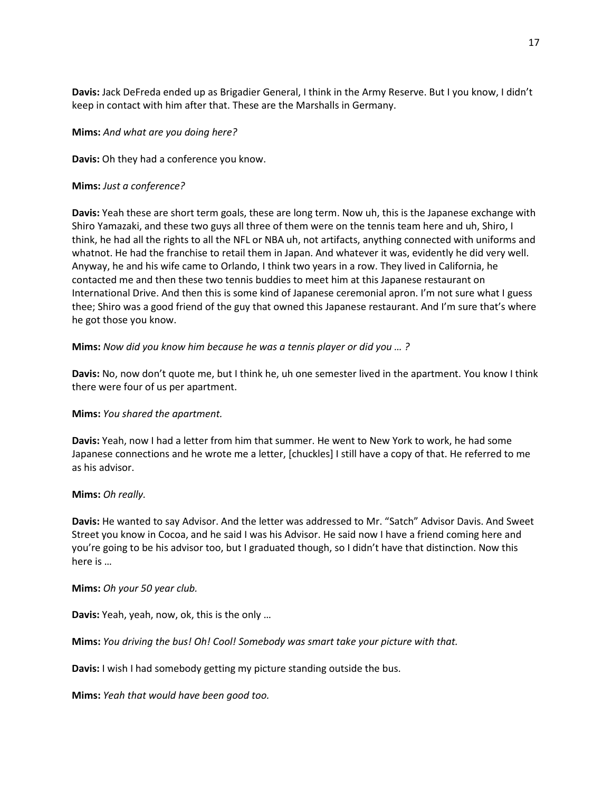**Davis:** Jack DeFreda ended up as Brigadier General, I think in the Army Reserve. But I you know, I didn't keep in contact with him after that. These are the Marshalls in Germany.

### **Mims:** *And what are you doing here?*

**Davis:** Oh they had a conference you know.

### **Mims:** *Just a conference?*

**Davis:** Yeah these are short term goals, these are long term. Now uh, this is the Japanese exchange with Shiro Yamazaki, and these two guys all three of them were on the tennis team here and uh, Shiro, I think, he had all the rights to all the NFL or NBA uh, not artifacts, anything connected with uniforms and whatnot. He had the franchise to retail them in Japan. And whatever it was, evidently he did very well. Anyway, he and his wife came to Orlando, I think two years in a row. They lived in California, he contacted me and then these two tennis buddies to meet him at this Japanese restaurant on International Drive. And then this is some kind of Japanese ceremonial apron. I'm not sure what I guess thee; Shiro was a good friend of the guy that owned this Japanese restaurant. And I'm sure that's where he got those you know.

**Mims:** *Now did you know him because he was a tennis player or did you … ?*

**Davis:** No, now don't quote me, but I think he, uh one semester lived in the apartment. You know I think there were four of us per apartment.

## **Mims:** *You shared the apartment.*

**Davis:** Yeah, now I had a letter from him that summer. He went to New York to work, he had some Japanese connections and he wrote me a letter, [chuckles] I still have a copy of that. He referred to me as his advisor.

### **Mims:** *Oh really.*

**Davis:** He wanted to say Advisor. And the letter was addressed to Mr. "Satch" Advisor Davis. And Sweet Street you know in Cocoa, and he said I was his Advisor. He said now I have a friend coming here and you're going to be his advisor too, but I graduated though, so I didn't have that distinction. Now this here is …

### **Mims:** *Oh your 50 year club.*

**Davis:** Yeah, yeah, now, ok, this is the only …

**Mims:** *You driving the bus! Oh! Cool! Somebody was smart take your picture with that.*

**Davis:** I wish I had somebody getting my picture standing outside the bus.

**Mims:** *Yeah that would have been good too.*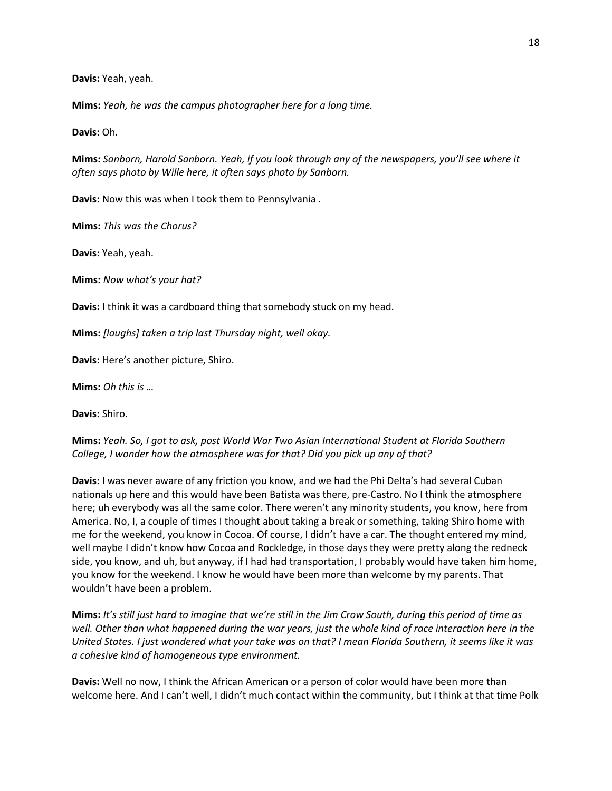**Davis:** Yeah, yeah.

**Mims:** *Yeah, he was the campus photographer here for a long time.*

**Davis:** Oh.

**Mims:** *Sanborn, Harold Sanborn. Yeah, if you look through any of the newspapers, you'll see where it often says photo by Wille here, it often says photo by Sanborn.*

**Davis:** Now this was when I took them to Pennsylvania .

**Mims:** *This was the Chorus?*

**Davis:** Yeah, yeah.

**Mims:** *Now what's your hat?*

**Davis:** I think it was a cardboard thing that somebody stuck on my head.

**Mims:** *[laughs] taken a trip last Thursday night, well okay.*

**Davis:** Here's another picture, Shiro.

**Mims:** *Oh this is …*

**Davis:** Shiro.

## **Mims:** *Yeah. So, I got to ask, post World War Two Asian International Student at Florida Southern College, I wonder how the atmosphere was for that? Did you pick up any of that?*

**Davis:** I was never aware of any friction you know, and we had the Phi Delta's had several Cuban nationals up here and this would have been Batista was there, pre-Castro. No I think the atmosphere here; uh everybody was all the same color. There weren't any minority students, you know, here from America. No, I, a couple of times I thought about taking a break or something, taking Shiro home with me for the weekend, you know in Cocoa. Of course, I didn't have a car. The thought entered my mind, well maybe I didn't know how Cocoa and Rockledge, in those days they were pretty along the redneck side, you know, and uh, but anyway, if I had had transportation, I probably would have taken him home, you know for the weekend. I know he would have been more than welcome by my parents. That wouldn't have been a problem.

**Mims:** *It's still just hard to imagine that we're still in the Jim Crow South, during this period of time as well. Other than what happened during the war years, just the whole kind of race interaction here in the United States. I just wondered what your take was on that? I mean Florida Southern, it seems like it was a cohesive kind of homogeneous type environment.*

**Davis:** Well no now, I think the African American or a person of color would have been more than welcome here. And I can't well, I didn't much contact within the community, but I think at that time Polk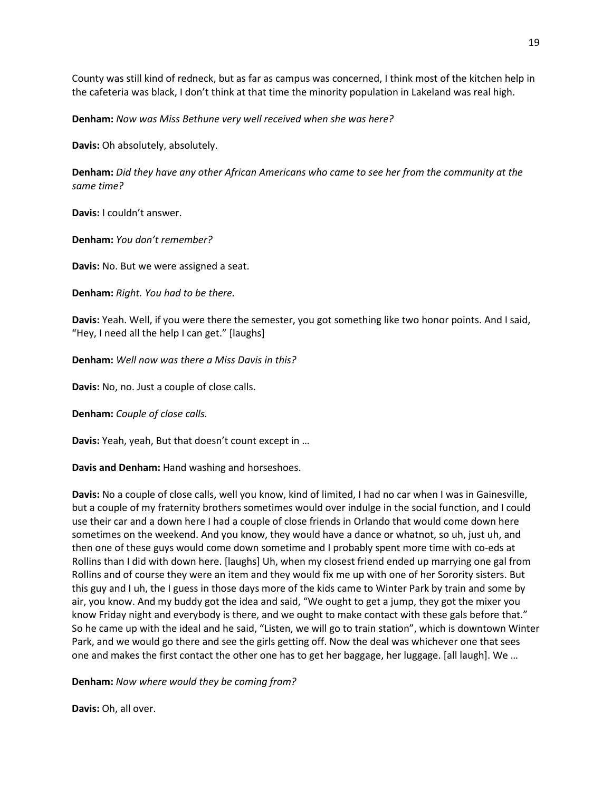County was still kind of redneck, but as far as campus was concerned, I think most of the kitchen help in the cafeteria was black, I don't think at that time the minority population in Lakeland was real high.

**Denham:** *Now was Miss Bethune very well received when she was here?*

**Davis:** Oh absolutely, absolutely.

**Denham:** *Did they have any other African Americans who came to see her from the community at the same time?*

**Davis:** I couldn't answer.

**Denham:** *You don't remember?*

**Davis:** No. But we were assigned a seat.

**Denham:** *Right. You had to be there.*

**Davis:** Yeah. Well, if you were there the semester, you got something like two honor points. And I said, "Hey, I need all the help I can get." [laughs]

**Denham:** *Well now was there a Miss Davis in this?*

**Davis:** No, no. Just a couple of close calls.

**Denham:** *Couple of close calls.*

**Davis:** Yeah, yeah, But that doesn't count except in …

**Davis and Denham:** Hand washing and horseshoes.

**Davis:** No a couple of close calls, well you know, kind of limited, I had no car when I was in Gainesville, but a couple of my fraternity brothers sometimes would over indulge in the social function, and I could use their car and a down here I had a couple of close friends in Orlando that would come down here sometimes on the weekend. And you know, they would have a dance or whatnot, so uh, just uh, and then one of these guys would come down sometime and I probably spent more time with co-eds at Rollins than I did with down here. [laughs] Uh, when my closest friend ended up marrying one gal from Rollins and of course they were an item and they would fix me up with one of her Sorority sisters. But this guy and I uh, the I guess in those days more of the kids came to Winter Park by train and some by air, you know. And my buddy got the idea and said, "We ought to get a jump, they got the mixer you know Friday night and everybody is there, and we ought to make contact with these gals before that." So he came up with the ideal and he said, "Listen, we will go to train station", which is downtown Winter Park, and we would go there and see the girls getting off. Now the deal was whichever one that sees one and makes the first contact the other one has to get her baggage, her luggage. [all laugh]. We …

**Denham:** *Now where would they be coming from?*

**Davis:** Oh, all over.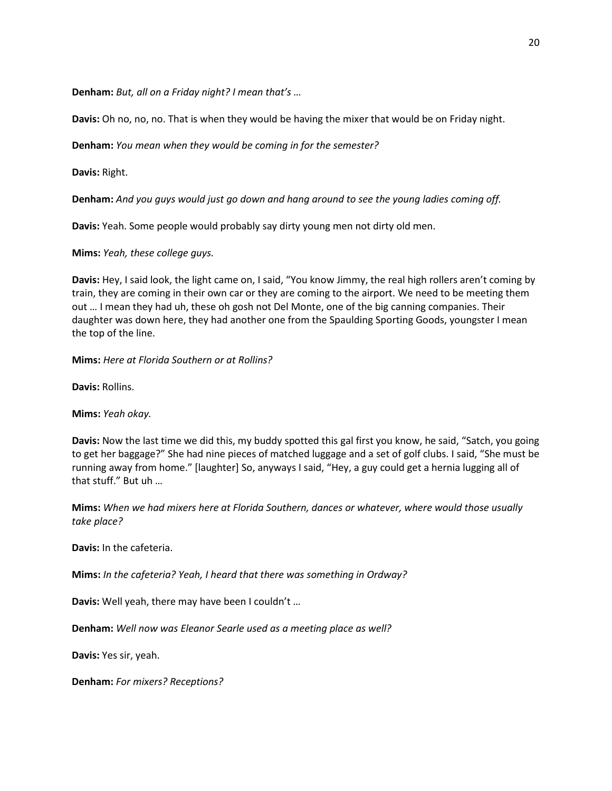**Denham:** *But, all on a Friday night? I mean that's …*

**Davis:** Oh no, no, no. That is when they would be having the mixer that would be on Friday night.

**Denham:** *You mean when they would be coming in for the semester?*

**Davis:** Right.

**Denham:** *And you guys would just go down and hang around to see the young ladies coming off.*

**Davis:** Yeah. Some people would probably say dirty young men not dirty old men.

**Mims:** *Yeah, these college guys.*

**Davis:** Hey, I said look, the light came on, I said, "You know Jimmy, the real high rollers aren't coming by train, they are coming in their own car or they are coming to the airport. We need to be meeting them out … I mean they had uh, these oh gosh not Del Monte, one of the big canning companies. Their daughter was down here, they had another one from the Spaulding Sporting Goods, youngster I mean the top of the line.

**Mims:** *Here at Florida Southern or at Rollins?*

**Davis:** Rollins.

**Mims:** *Yeah okay.*

**Davis:** Now the last time we did this, my buddy spotted this gal first you know, he said, "Satch, you going to get her baggage?" She had nine pieces of matched luggage and a set of golf clubs. I said, "She must be running away from home." [laughter] So, anyways I said, "Hey, a guy could get a hernia lugging all of that stuff." But uh …

**Mims:** *When we had mixers here at Florida Southern, dances or whatever, where would those usually take place?*

**Davis:** In the cafeteria.

**Mims:** *In the cafeteria? Yeah, I heard that there was something in Ordway?*

**Davis:** Well yeah, there may have been I couldn't …

**Denham:** *Well now was Eleanor Searle used as a meeting place as well?*

**Davis:** Yes sir, yeah.

**Denham:** *For mixers? Receptions?*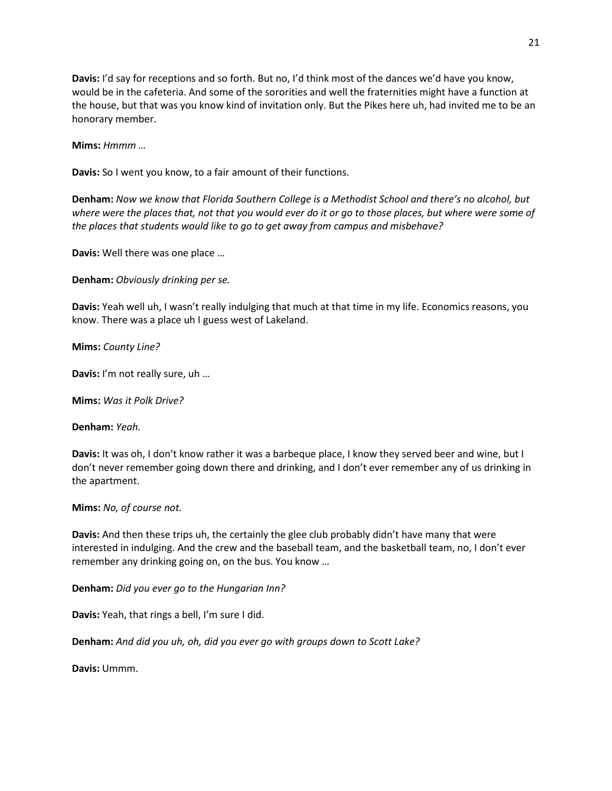**Davis:** I'd say for receptions and so forth. But no, I'd think most of the dances we'd have you know, would be in the cafeteria. And some of the sororities and well the fraternities might have a function at the house, but that was you know kind of invitation only. But the Pikes here uh, had invited me to be an honorary member.

**Mims:** *Hmmm …*

**Davis:** So I went you know, to a fair amount of their functions.

**Denham:** *Now we know that Florida Southern College is a Methodist School and there's no alcohol, but where were the places that, not that you would ever do it or go to those places, but where were some of the places that students would like to go to get away from campus and misbehave?*

**Davis:** Well there was one place …

**Denham:** *Obviously drinking per se.*

**Davis:** Yeah well uh, I wasn't really indulging that much at that time in my life. Economics reasons, you know. There was a place uh I guess west of Lakeland.

**Mims:** *County Line?*

**Davis:** I'm not really sure, uh …

**Mims:** *Was it Polk Drive?*

**Denham:** *Yeah.*

**Davis:** It was oh, I don't know rather it was a barbeque place, I know they served beer and wine, but I don't never remember going down there and drinking, and I don't ever remember any of us drinking in the apartment.

**Mims:** *No, of course not.*

**Davis:** And then these trips uh, the certainly the glee club probably didn't have many that were interested in indulging. And the crew and the baseball team, and the basketball team, no, I don't ever remember any drinking going on, on the bus. You know …

**Denham:** *Did you ever go to the Hungarian Inn?*

**Davis:** Yeah, that rings a bell, I'm sure I did.

**Denham:** *And did you uh, oh, did you ever go with groups down to Scott Lake?*

**Davis:** Ummm.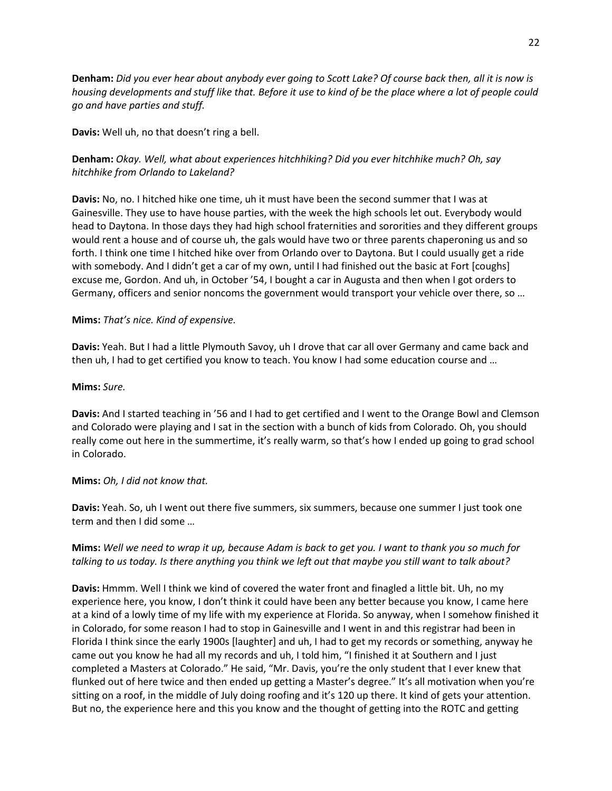**Denham:** *Did you ever hear about anybody ever going to Scott Lake? Of course back then, all it is now is housing developments and stuff like that. Before it use to kind of be the place where a lot of people could go and have parties and stuff.*

**Davis:** Well uh, no that doesn't ring a bell.

## **Denham:** *Okay. Well, what about experiences hitchhiking? Did you ever hitchhike much? Oh, say hitchhike from Orlando to Lakeland?*

**Davis:** No, no. I hitched hike one time, uh it must have been the second summer that I was at Gainesville. They use to have house parties, with the week the high schools let out. Everybody would head to Daytona. In those days they had high school fraternities and sororities and they different groups would rent a house and of course uh, the gals would have two or three parents chaperoning us and so forth. I think one time I hitched hike over from Orlando over to Daytona. But I could usually get a ride with somebody. And I didn't get a car of my own, until I had finished out the basic at Fort [coughs] excuse me, Gordon. And uh, in October '54, I bought a car in Augusta and then when I got orders to Germany, officers and senior noncoms the government would transport your vehicle over there, so …

### **Mims:** *That's nice. Kind of expensive.*

**Davis:** Yeah. But I had a little Plymouth Savoy, uh I drove that car all over Germany and came back and then uh, I had to get certified you know to teach. You know I had some education course and …

### **Mims:** *Sure.*

**Davis:** And I started teaching in '56 and I had to get certified and I went to the Orange Bowl and Clemson and Colorado were playing and I sat in the section with a bunch of kids from Colorado. Oh, you should really come out here in the summertime, it's really warm, so that's how I ended up going to grad school in Colorado.

## **Mims:** *Oh, I did not know that.*

**Davis:** Yeah. So, uh I went out there five summers, six summers, because one summer I just took one term and then I did some …

## **Mims:** *Well we need to wrap it up, because Adam is back to get you. I want to thank you so much for talking to us today. Is there anything you think we left out that maybe you still want to talk about?*

**Davis:** Hmmm. Well I think we kind of covered the water front and finagled a little bit. Uh, no my experience here, you know, I don't think it could have been any better because you know, I came here at a kind of a lowly time of my life with my experience at Florida. So anyway, when I somehow finished it in Colorado, for some reason I had to stop in Gainesville and I went in and this registrar had been in Florida I think since the early 1900s [laughter] and uh, I had to get my records or something, anyway he came out you know he had all my records and uh, I told him, "I finished it at Southern and I just completed a Masters at Colorado." He said, "Mr. Davis, you're the only student that I ever knew that flunked out of here twice and then ended up getting a Master's degree." It's all motivation when you're sitting on a roof, in the middle of July doing roofing and it's 120 up there. It kind of gets your attention. But no, the experience here and this you know and the thought of getting into the ROTC and getting